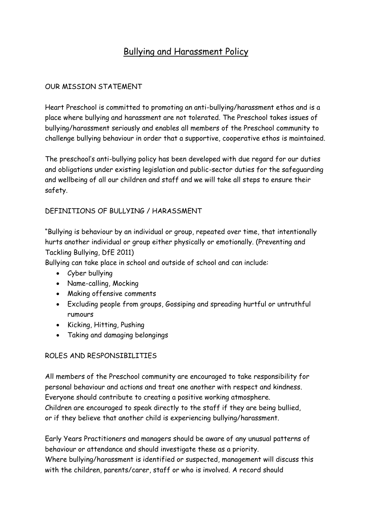# Bullying and Harassment Policy

#### OUR MISSION STATEMENT

Heart Preschool is committed to promoting an anti-bullying/harassment ethos and is a place where bullying and harassment are not tolerated. The Preschool takes issues of bullying/harassment seriously and enables all members of the Preschool community to challenge bullying behaviour in order that a supportive, cooperative ethos is maintained.

The preschool's anti-bullying policy has been developed with due regard for our duties and obligations under existing legislation and public-sector duties for the safeguarding and wellbeing of all our children and staff and we will take all steps to ensure their safety.

#### DEFINITIONS OF BULLYING / HARASSMENT

"Bullying is behaviour by an individual or group, repeated over time, that intentionally hurts another individual or group either physically or emotionally. (Preventing and Tackling Bullying, DfE 2011)

Bullying can take place in school and outside of school and can include:

- Cyber bullying
- Name-calling, Mocking
- Making offensive comments
- Excluding people from groups, Gossiping and spreading hurtful or untruthful rumours
- Kicking, Hitting, Pushing
- Taking and damaging belongings

#### ROLES AND RESPONSIBILITIES

All members of the Preschool community are encouraged to take responsibility for personal behaviour and actions and treat one another with respect and kindness. Everyone should contribute to creating a positive working atmosphere. Children are encouraged to speak directly to the staff if they are being bullied, or if they believe that another child is experiencing bullying/harassment.

Early Years Practitioners and managers should be aware of any unusual patterns of behaviour or attendance and should investigate these as a priority. Where bullying/harassment is identified or suspected, management will discuss this with the children, parents/carer, staff or who is involved. A record should